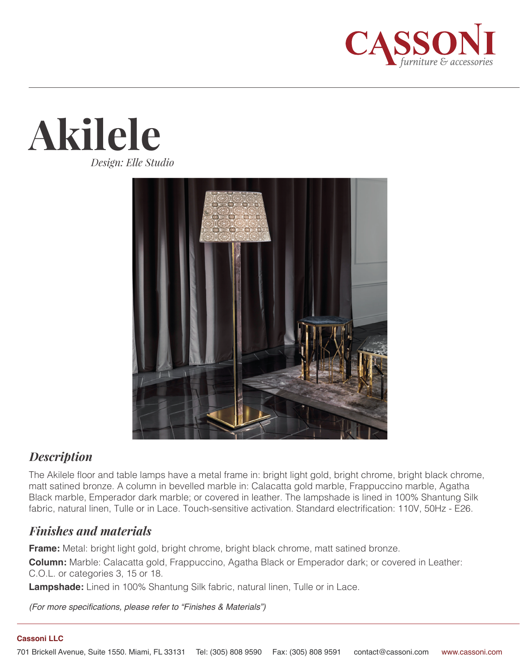





## *Description*

The Akilele floor and table lamps have a metal frame in: bright light gold, bright chrome, bright black chrome, matt satined bronze. A column in bevelled marble in: Calacatta gold marble, Frappuccino marble, Agatha Black marble, Emperador dark marble; or covered in leather. The lampshade is lined in 100% Shantung Silk fabric, natural linen, Tulle or in Lace. Touch-sensitive activation. Standard electrification: 110V, 50Hz - E26.

## *Finishes and materials*

**Frame:** Metal: bright light gold, bright chrome, bright black chrome, matt satined bronze.

**Column:** Marble: Calacatta gold, Frappuccino, Agatha Black or Emperador dark; or covered in Leather: C.O.L. or categories 3, 15 or 18.

**Lampshade:** Lined in 100% Shantung Silk fabric, natural linen, Tulle or in Lace.

*(For more specifications, please refer to "Finishes & Materials")*

## **Cassoni LLC**